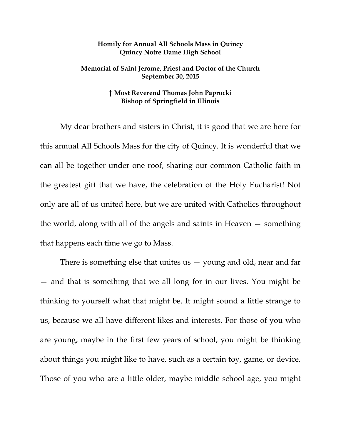## **Homily for Annual All Schools Mass in Quincy Quincy Notre Dame High School**

## **Memorial of Saint Jerome, Priest and Doctor of the Church September 30, 2015**

## **† Most Reverend Thomas John Paprocki Bishop of Springfield in Illinois**

My dear brothers and sisters in Christ, it is good that we are here for this annual All Schools Mass for the city of Quincy. It is wonderful that we can all be together under one roof, sharing our common Catholic faith in the greatest gift that we have, the celebration of the Holy Eucharist! Not only are all of us united here, but we are united with Catholics throughout the world, along with all of the angels and saints in Heaven — something that happens each time we go to Mass.

There is something else that unites us — young and old, near and far — and that is something that we all long for in our lives. You might be thinking to yourself what that might be. It might sound a little strange to us, because we all have different likes and interests. For those of you who are young, maybe in the first few years of school, you might be thinking about things you might like to have, such as a certain toy, game, or device. Those of you who are a little older, maybe middle school age, you might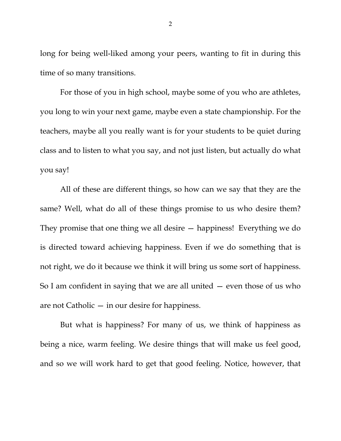long for being well-liked among your peers, wanting to fit in during this time of so many transitions.

For those of you in high school, maybe some of you who are athletes, you long to win your next game, maybe even a state championship. For the teachers, maybe all you really want is for your students to be quiet during class and to listen to what you say, and not just listen, but actually do what you say!

All of these are different things, so how can we say that they are the same? Well, what do all of these things promise to us who desire them? They promise that one thing we all desire — happiness! Everything we do is directed toward achieving happiness. Even if we do something that is not right, we do it because we think it will bring us some sort of happiness. So I am confident in saying that we are all united — even those of us who are not Catholic — in our desire for happiness.

But what is happiness? For many of us, we think of happiness as being a nice, warm feeling. We desire things that will make us feel good, and so we will work hard to get that good feeling. Notice, however, that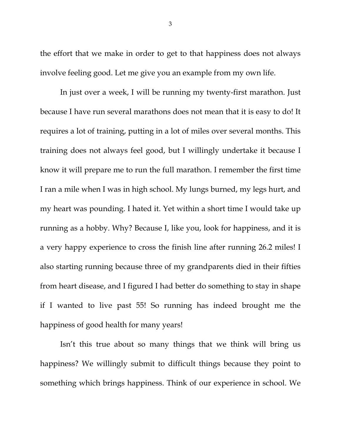the effort that we make in order to get to that happiness does not always involve feeling good. Let me give you an example from my own life.

In just over a week, I will be running my twenty-first marathon. Just because I have run several marathons does not mean that it is easy to do! It requires a lot of training, putting in a lot of miles over several months. This training does not always feel good, but I willingly undertake it because I know it will prepare me to run the full marathon. I remember the first time I ran a mile when I was in high school. My lungs burned, my legs hurt, and my heart was pounding. I hated it. Yet within a short time I would take up running as a hobby. Why? Because I, like you, look for happiness, and it is a very happy experience to cross the finish line after running 26.2 miles! I also starting running because three of my grandparents died in their fifties from heart disease, and I figured I had better do something to stay in shape if I wanted to live past 55! So running has indeed brought me the happiness of good health for many years!

Isn't this true about so many things that we think will bring us happiness? We willingly submit to difficult things because they point to something which brings happiness. Think of our experience in school. We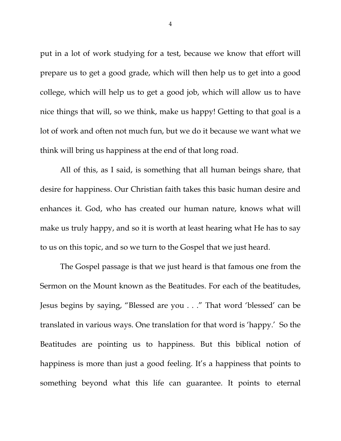put in a lot of work studying for a test, because we know that effort will prepare us to get a good grade, which will then help us to get into a good college, which will help us to get a good job, which will allow us to have nice things that will, so we think, make us happy! Getting to that goal is a lot of work and often not much fun, but we do it because we want what we think will bring us happiness at the end of that long road.

All of this, as I said, is something that all human beings share, that desire for happiness. Our Christian faith takes this basic human desire and enhances it. God, who has created our human nature, knows what will make us truly happy, and so it is worth at least hearing what He has to say to us on this topic, and so we turn to the Gospel that we just heard.

The Gospel passage is that we just heard is that famous one from the Sermon on the Mount known as the Beatitudes. For each of the beatitudes, Jesus begins by saying, "Blessed are you . . ." That word 'blessed' can be translated in various ways. One translation for that word is 'happy.' So the Beatitudes are pointing us to happiness. But this biblical notion of happiness is more than just a good feeling. It's a happiness that points to something beyond what this life can guarantee. It points to eternal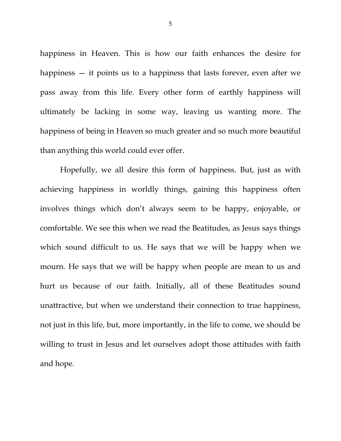happiness in Heaven. This is how our faith enhances the desire for happiness — it points us to a happiness that lasts forever, even after we pass away from this life. Every other form of earthly happiness will ultimately be lacking in some way, leaving us wanting more. The happiness of being in Heaven so much greater and so much more beautiful than anything this world could ever offer.

Hopefully, we all desire this form of happiness. But, just as with achieving happiness in worldly things, gaining this happiness often involves things which don't always seem to be happy, enjoyable, or comfortable. We see this when we read the Beatitudes, as Jesus says things which sound difficult to us. He says that we will be happy when we mourn. He says that we will be happy when people are mean to us and hurt us because of our faith. Initially, all of these Beatitudes sound unattractive, but when we understand their connection to true happiness, not just in this life, but, more importantly, in the life to come, we should be willing to trust in Jesus and let ourselves adopt those attitudes with faith and hope.

5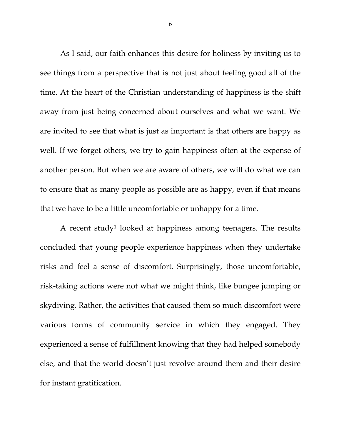As I said, our faith enhances this desire for holiness by inviting us to see things from a perspective that is not just about feeling good all of the time. At the heart of the Christian understanding of happiness is the shift away from just being concerned about ourselves and what we want. We are invited to see that what is just as important is that others are happy as well. If we forget others, we try to gain happiness often at the expense of another person. But when we are aware of others, we will do what we can to ensure that as many people as possible are as happy, even if that means that we have to be a little uncomfortable or unhappy for a time.

A recent study1 looked at happiness among teenagers. The results concluded that young people experience happiness when they undertake risks and feel a sense of discomfort. Surprisingly, those uncomfortable, risk-taking actions were not what we might think, like bungee jumping or skydiving. Rather, the activities that caused them so much discomfort were various forms of community service in which they engaged. They experienced a sense of fulfillment knowing that they had helped somebody else, and that the world doesn't just revolve around them and their desire for instant gratification.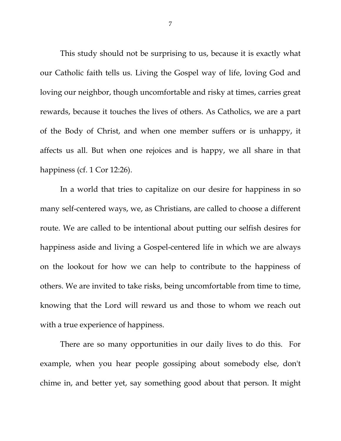This study should not be surprising to us, because it is exactly what our Catholic faith tells us. Living the Gospel way of life, loving God and loving our neighbor, though uncomfortable and risky at times, carries great rewards, because it touches the lives of others. As Catholics, we are a part of the Body of Christ, and when one member suffers or is unhappy, it affects us all. But when one rejoices and is happy, we all share in that happiness (cf. 1 Cor 12:26).

In a world that tries to capitalize on our desire for happiness in so many self-centered ways, we, as Christians, are called to choose a different route. We are called to be intentional about putting our selfish desires for happiness aside and living a Gospel-centered life in which we are always on the lookout for how we can help to contribute to the happiness of others. We are invited to take risks, being uncomfortable from time to time, knowing that the Lord will reward us and those to whom we reach out with a true experience of happiness.

There are so many opportunities in our daily lives to do this. For example, when you hear people gossiping about somebody else, don't chime in, and better yet, say something good about that person. It might

7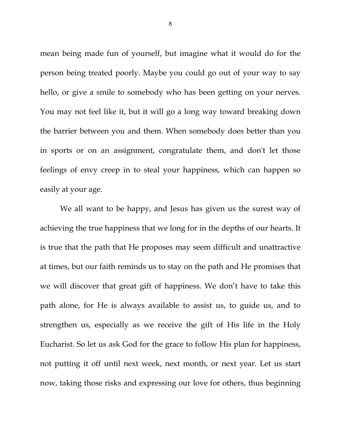mean being made fun of yourself, but imagine what it would do for the person being treated poorly. Maybe you could go out of your way to say hello, or give a smile to somebody who has been getting on your nerves. You may not feel like it, but it will go a long way toward breaking down the barrier between you and them. When somebody does better than you in sports or on an assignment, congratulate them, and don't let those feelings of envy creep in to steal your happiness, which can happen so easily at your age.

We all want to be happy, and Jesus has given us the surest way of achieving the true happiness that we long for in the depths of our hearts. It is true that the path that He proposes may seem difficult and unattractive at times, but our faith reminds us to stay on the path and He promises that we will discover that great gift of happiness. We don't have to take this path alone, for He is always available to assist us, to guide us, and to strengthen us, especially as we receive the gift of His life in the Holy Eucharist. So let us ask God for the grace to follow His plan for happiness, not putting it off until next week, next month, or next year. Let us start now, taking those risks and expressing our love for others, thus beginning